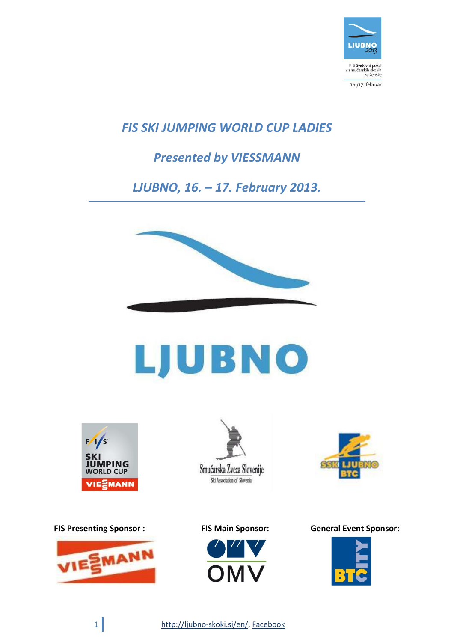

*FIS SKI JUMPING WORLD CUP LADIES*

# *Presented by VIESSMANN*

*LJUBNO, 16. – 17. February 2013.*



# LJUBNO











**FIS Presenting Sponsor : FIS Main Sponsor: General Event Sponsor:** 



1 http://ljubno-skoki.si/en/, Facebook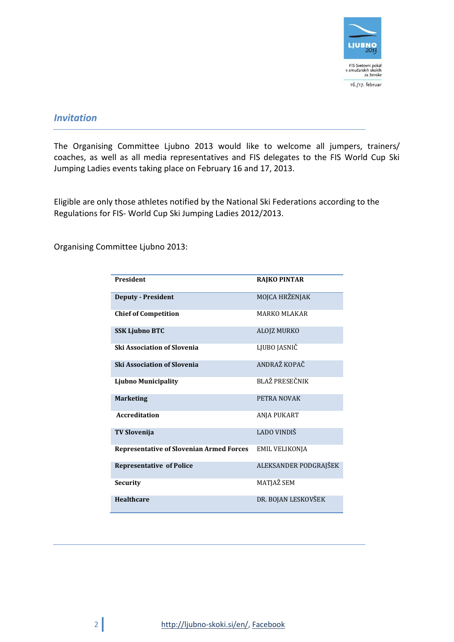

# *Invitation*

The Organising Committee Ljubno 2013 would like to welcome all jumpers, trainers/ coaches, as well as all media representatives and FIS delegates to the FIS World Cup Ski Jumping Ladies events taking place on February 16 and 17, 2013.

Eligible are only those athletes notified by the National Ski Federations according to the Regulations for FIS- World Cup Ski Jumping Ladies 2012/2013.

Organising Committee Ljubno 2013:

| <b>President</b>                                | <b>RAJKO PINTAR</b>   |
|-------------------------------------------------|-----------------------|
| <b>Deputy - President</b>                       | MOJCA HRŽENJAK        |
| <b>Chief of Competition</b>                     | <b>MARKO MLAKAR</b>   |
| <b>SSK Ljubno BTC</b>                           | ALOJZ MURKO           |
| <b>Ski Association of Slovenia</b>              | LJUBO JASNIČ          |
| <b>Ski Association of Slovenia</b>              | ANDRAŽ KOPAČ          |
| <b>Ljubno Municipality</b>                      | BLAŽ PRESEČNIK        |
| <b>Marketing</b>                                | PETRA NOVAK           |
| <b>Accreditation</b>                            | ANJA PUKART           |
| <b>TV Slovenija</b>                             | LADO VINDIŠ           |
| <b>Representative of Slovenian Armed Forces</b> | <b>EMIL VELIKONJA</b> |
| <b>Representative of Police</b>                 | ALEKSANDER PODGRAJŠEK |
| Security                                        | MATJAŽ SEM            |
| <b>Healthcare</b>                               | DR. BOJAN LESKOVŠEK   |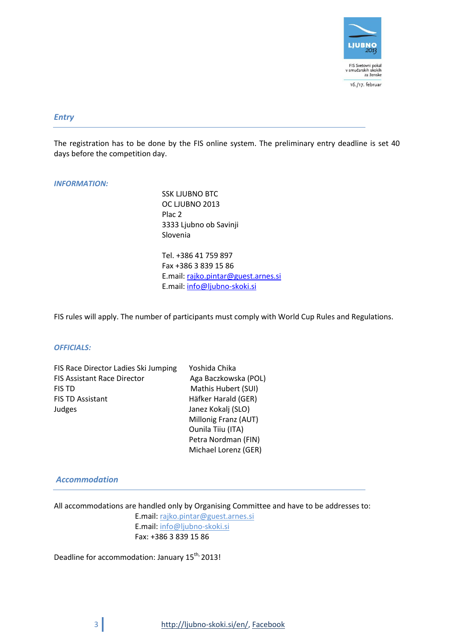

#### *Entry*

The registration has to be done by the FIS online system. The preliminary entry deadline is set 40 days before the competition day.

#### *INFORMATION:*

SSK LJUBNO BTC OC LJUBNO 2013 Plac 2 3333 Ljubno ob Savinji Slovenia

Tel. +386 41 759 897 Fax +386 3 839 15 86 E.mail: [rajko.pintar@guest.arnes.si](mailto:rajko.pintar@guest.arnes.si) E.mail: [info@ljubno-skoki.si](mailto:info@ljubno-skoki.si)

FIS rules will apply. The number of participants must comply with World Cup Rules and Regulations.

#### *OFFICIALS:*

| Yoshida Chika        |
|----------------------|
| Aga Baczkowska (POL) |
| Mathis Hubert (SUI)  |
| Häfker Harald (GER)  |
| Janez Kokalj (SLO)   |
| Millonig Franz (AUT) |
| Ounila Tiiu (ITA)    |
| Petra Nordman (FIN)  |
|                      |

#### *Accommodation*

All accommodations are handled only by Organising Committee and have to be addresses to:

Michael Lorenz (GER)

E.mail[: rajko.pintar@guest.arnes.si](mailto:rajko.pintar@guest.arnes.si) E.mail[: info@ljubno-skoki.si](mailto:info@ljubno-skoki.si) Fax: +386 3 839 15 86

Deadline for accommodation: January 15<sup>th,</sup> 2013!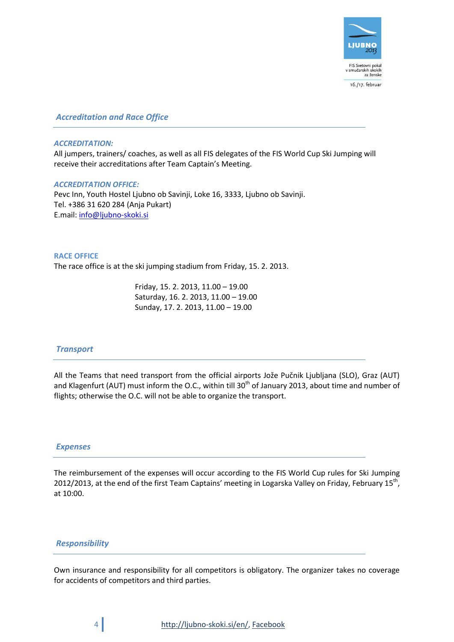

*Accreditation and Race Office*

#### *ACCREDITATION:*

All jumpers, trainers/ coaches, as well as all FIS delegates of the FIS World Cup Ski Jumping will receive their accreditations after Team Captain's Meeting.

#### *ACCREDITATION OFFICE:*

Pevc Inn, Youth Hostel Ljubno ob Savinji, Loke 16, 3333, Ljubno ob Savinji. Tel. +386 31 620 284 (Anja Pukart) E.mail[: info@ljubno-skoki.si](mailto:info@ljubno-skoki.si)

#### **RACE OFFICE**

The race office is at the ski jumping stadium from Friday, 15. 2. 2013.

Friday, 15. 2. 2013, 11.00 – 19.00 Saturday, 16. 2. 2013, 11.00 – 19.00 Sunday, 17. 2. 2013, 11.00 – 19.00

# *Transport*

All the Teams that need transport from the official airports Jože Pučnik Ljubljana (SLO), Graz (AUT) and Klagenfurt (AUT) must inform the O.C., within till 30<sup>th</sup> of January 2013, about time and number of flights; otherwise the O.C. will not be able to organize the transport.

## *Expenses*

The reimbursement of the expenses will occur according to the FIS World Cup rules for Ski Jumping 2012/2013, at the end of the first Team Captains' meeting in Logarska Valley on Friday, February 15<sup>th</sup>, at 10:00.

## *Responsibility*

Own insurance and responsibility for all competitors is obligatory. The organizer takes no coverage for accidents of competitors and third parties.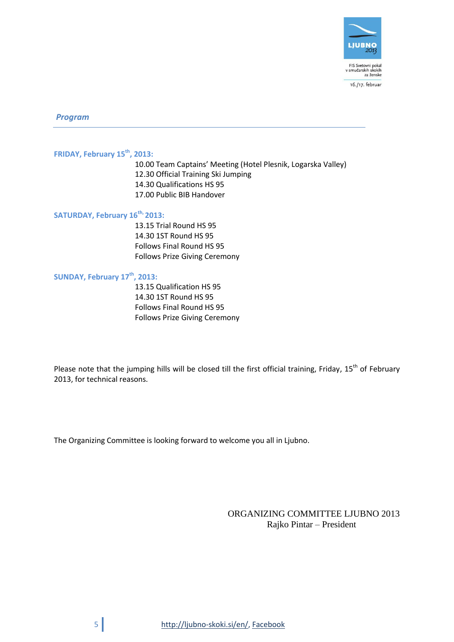

16./17. februar

*Program*

# **FRIDAY, February 15 th , 2013:**

10.00 Team Captains' Meeting (Hotel Plesnik, Logarska Valley) 12.30 Official Training Ski Jumping 14.30 Qualifications HS 95 17.00 Public BIB Handover

#### **SATURDAY, February 16 th, 2013:**

13.15 Trial Round HS 95 14.30 1ST Round HS 95 Follows Final Round HS 95 Follows Prize Giving Ceremony

# **SUNDAY, February 17 th , 2013:**

13.15 Qualification HS 95 14.30 1ST Round HS 95 Follows Final Round HS 95 Follows Prize Giving Ceremony

Please note that the jumping hills will be closed till the first official training, Friday, 15<sup>th</sup> of February 2013, for technical reasons.

The Organizing Committee is looking forward to welcome you all in Ljubno.

# ORGANIZING COMMITTEE LJUBNO 2013 Rajko Pintar – President